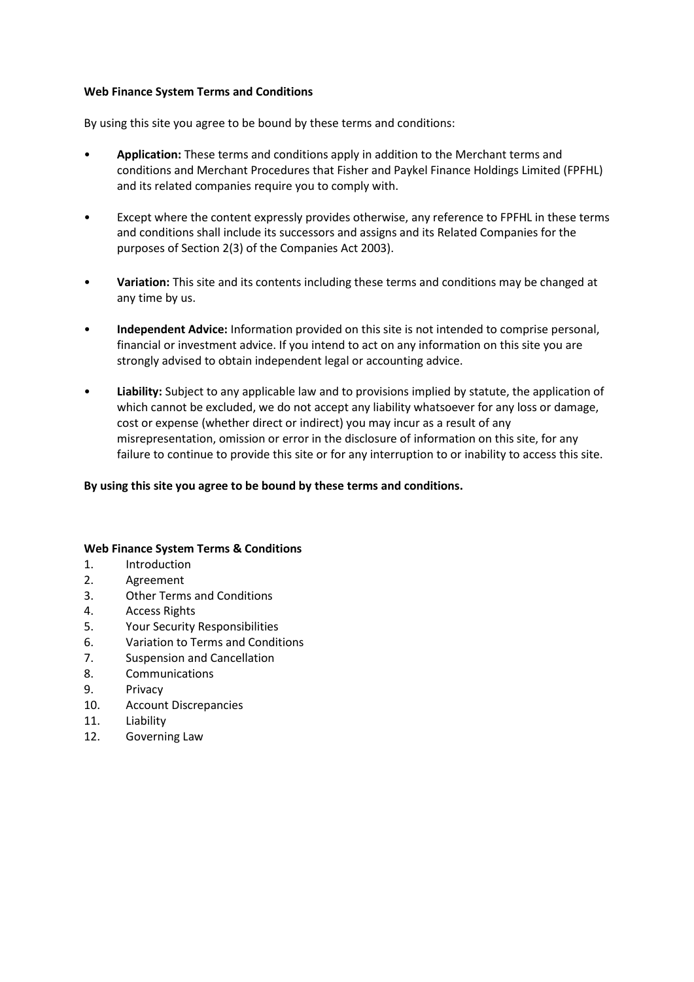### **Web Finance System Terms and Conditions**

By using this site you agree to be bound by these terms and conditions:

- **Application:** These terms and conditions apply in addition to the Merchant terms and conditions and Merchant Procedures that Fisher and Paykel Finance Holdings Limited (FPFHL) and its related companies require you to comply with.
- Except where the content expressly provides otherwise, any reference to FPFHL in these terms and conditions shall include its successors and assigns and its Related Companies for the purposes of Section 2(3) of the Companies Act 2003).
- **Variation:** This site and its contents including these terms and conditions may be changed at any time by us.
- **Independent Advice:** Information provided on this site is not intended to comprise personal, financial or investment advice. If you intend to act on any information on this site you are strongly advised to obtain independent legal or accounting advice.
- **Liability:** Subject to any applicable law and to provisions implied by statute, the application of which cannot be excluded, we do not accept any liability whatsoever for any loss or damage, cost or expense (whether direct or indirect) you may incur as a result of any misrepresentation, omission or error in the disclosure of information on this site, for any failure to continue to provide this site or for any interruption to or inability to access this site.

# **By using this site you agree to be bound by these terms and conditions.**

### **Web Finance System Terms & Conditions**

- 1. Introduction
- 2. Agreement
- 3. Other Terms and Conditions
- 4. Access Rights
- 5. Your Security Responsibilities
- 6. Variation to Terms and Conditions
- 7. Suspension and Cancellation
- 8. Communications
- 9. Privacy
- 10. Account Discrepancies
- 11. Liability
- 12. Governing Law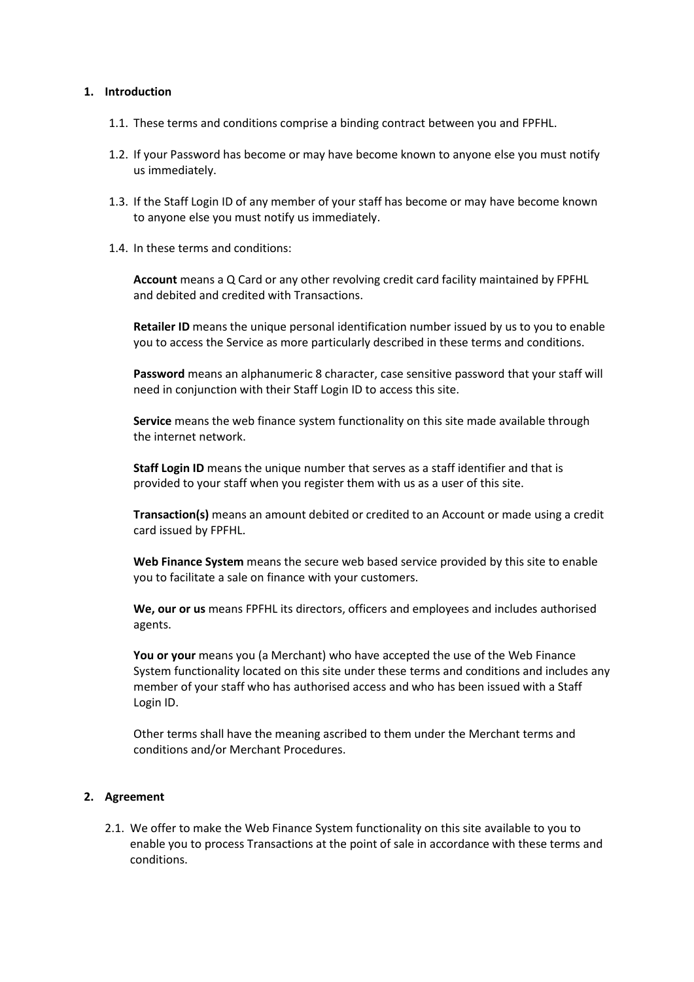#### **1. Introduction**

- 1.1. These terms and conditions comprise a binding contract between you and FPFHL.
- 1.2. If your Password has become or may have become known to anyone else you must notify us immediately.
- 1.3. If the Staff Login ID of any member of your staff has become or may have become known to anyone else you must notify us immediately.
- 1.4. In these terms and conditions:

**Account** means a Q Card or any other revolving credit card facility maintained by FPFHL and debited and credited with Transactions.

**Retailer ID** means the unique personal identification number issued by us to you to enable you to access the Service as more particularly described in these terms and conditions.

**Password** means an alphanumeric 8 character, case sensitive password that your staff will need in conjunction with their Staff Login ID to access this site.

**Service** means the web finance system functionality on this site made available through the internet network.

**Staff Login ID** means the unique number that serves as a staff identifier and that is provided to your staff when you register them with us as a user of this site.

**Transaction(s)** means an amount debited or credited to an Account or made using a credit card issued by FPFHL.

**Web Finance System** means the secure web based service provided by this site to enable you to facilitate a sale on finance with your customers.

**We, our or us** means FPFHL its directors, officers and employees and includes authorised agents.

You or your means you (a Merchant) who have accepted the use of the Web Finance System functionality located on this site under these terms and conditions and includes any member of your staff who has authorised access and who has been issued with a Staff Login ID.

Other terms shall have the meaning ascribed to them under the Merchant terms and conditions and/or Merchant Procedures.

### **2. Agreement**

2.1. We offer to make the Web Finance System functionality on this site available to you to enable you to process Transactions at the point of sale in accordance with these terms and conditions.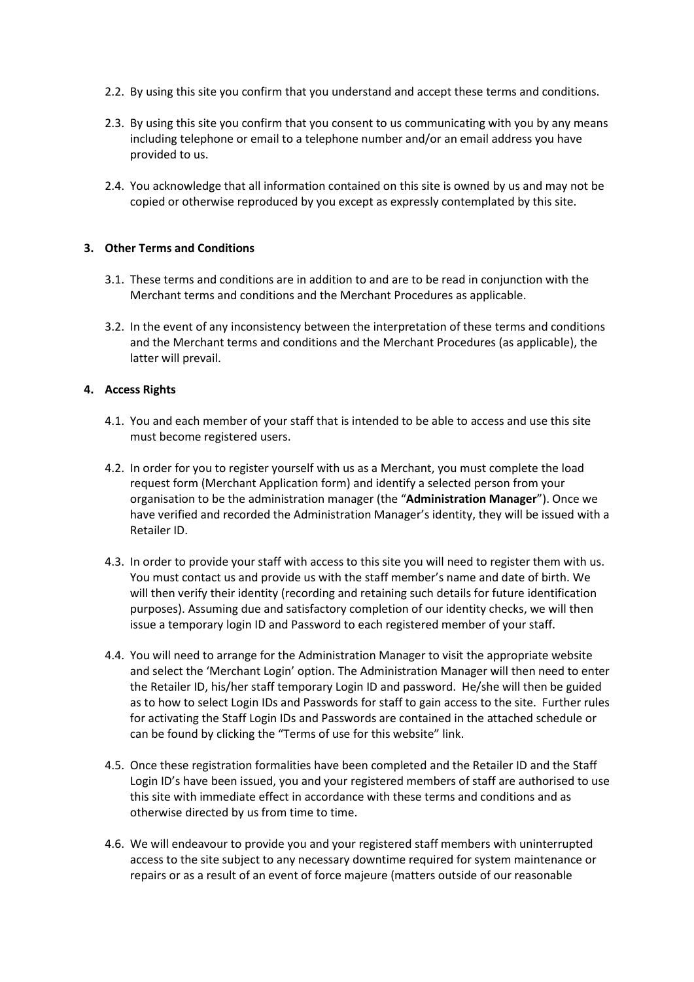- 2.2. By using this site you confirm that you understand and accept these terms and conditions.
- 2.3. By using this site you confirm that you consent to us communicating with you by any means including telephone or email to a telephone number and/or an email address you have provided to us.
- 2.4. You acknowledge that all information contained on this site is owned by us and may not be copied or otherwise reproduced by you except as expressly contemplated by this site.

## **3. Other Terms and Conditions**

- 3.1. These terms and conditions are in addition to and are to be read in conjunction with the Merchant terms and conditions and the Merchant Procedures as applicable.
- 3.2. In the event of any inconsistency between the interpretation of these terms and conditions and the Merchant terms and conditions and the Merchant Procedures (as applicable), the latter will prevail.

### **4. Access Rights**

- 4.1. You and each member of your staff that is intended to be able to access and use this site must become registered users.
- 4.2. In order for you to register yourself with us as a Merchant, you must complete the load request form (Merchant Application form) and identify a selected person from your organisation to be the administration manager (the "**Administration Manager**"). Once we have verified and recorded the Administration Manager's identity, they will be issued with a Retailer ID.
- 4.3. In order to provide your staff with access to this site you will need to register them with us. You must contact us and provide us with the staff member's name and date of birth. We will then verify their identity (recording and retaining such details for future identification purposes). Assuming due and satisfactory completion of our identity checks, we will then issue a temporary login ID and Password to each registered member of your staff.
- 4.4. You will need to arrange for the Administration Manager to visit the appropriate website and select the 'Merchant Login' option. The Administration Manager will then need to enter the Retailer ID, his/her staff temporary Login ID and password. He/she will then be guided as to how to select Login IDs and Passwords for staff to gain access to the site. Further rules for activating the Staff Login IDs and Passwords are contained in the attached schedule or can be found by clicking the "Terms of use for this website" link.
- 4.5. Once these registration formalities have been completed and the Retailer ID and the Staff Login ID's have been issued, you and your registered members of staff are authorised to use this site with immediate effect in accordance with these terms and conditions and as otherwise directed by us from time to time.
- 4.6. We will endeavour to provide you and your registered staff members with uninterrupted access to the site subject to any necessary downtime required for system maintenance or repairs or as a result of an event of force majeure (matters outside of our reasonable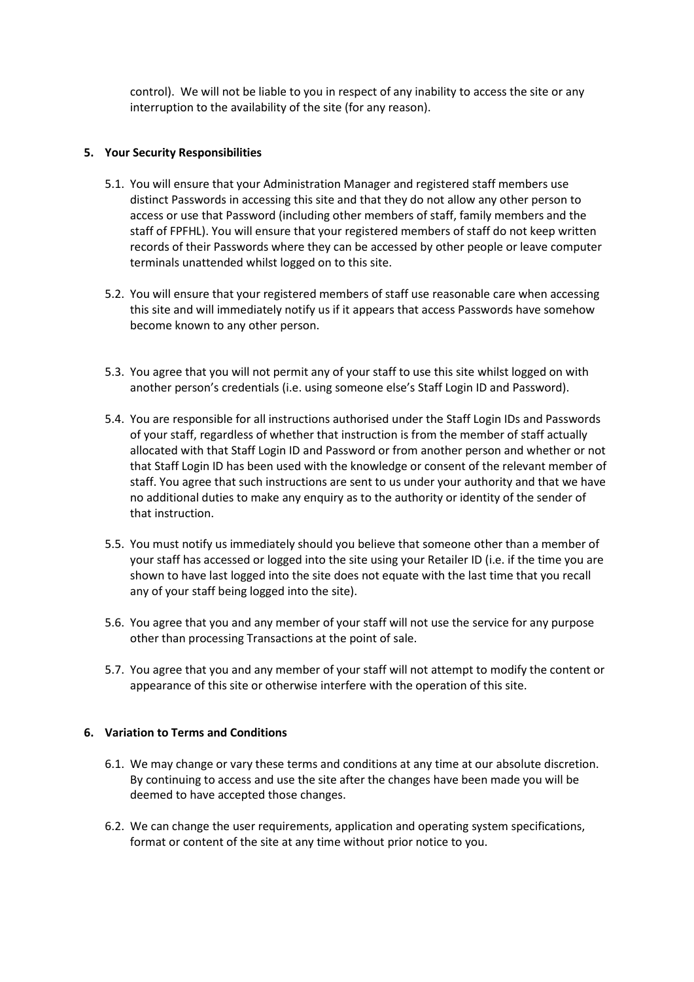control). We will not be liable to you in respect of any inability to access the site or any interruption to the availability of the site (for any reason).

### **5. Your Security Responsibilities**

- 5.1. You will ensure that your Administration Manager and registered staff members use distinct Passwords in accessing this site and that they do not allow any other person to access or use that Password (including other members of staff, family members and the staff of FPFHL). You will ensure that your registered members of staff do not keep written records of their Passwords where they can be accessed by other people or leave computer terminals unattended whilst logged on to this site.
- 5.2. You will ensure that your registered members of staff use reasonable care when accessing this site and will immediately notify us if it appears that access Passwords have somehow become known to any other person.
- 5.3. You agree that you will not permit any of your staff to use this site whilst logged on with another person's credentials (i.e. using someone else's Staff Login ID and Password).
- 5.4. You are responsible for all instructions authorised under the Staff Login IDs and Passwords of your staff, regardless of whether that instruction is from the member of staff actually allocated with that Staff Login ID and Password or from another person and whether or not that Staff Login ID has been used with the knowledge or consent of the relevant member of staff. You agree that such instructions are sent to us under your authority and that we have no additional duties to make any enquiry as to the authority or identity of the sender of that instruction.
- 5.5. You must notify us immediately should you believe that someone other than a member of your staff has accessed or logged into the site using your Retailer ID (i.e. if the time you are shown to have last logged into the site does not equate with the last time that you recall any of your staff being logged into the site).
- 5.6. You agree that you and any member of your staff will not use the service for any purpose other than processing Transactions at the point of sale.
- 5.7. You agree that you and any member of your staff will not attempt to modify the content or appearance of this site or otherwise interfere with the operation of this site.

### **6. Variation to Terms and Conditions**

- 6.1. We may change or vary these terms and conditions at any time at our absolute discretion. By continuing to access and use the site after the changes have been made you will be deemed to have accepted those changes.
- 6.2. We can change the user requirements, application and operating system specifications, format or content of the site at any time without prior notice to you.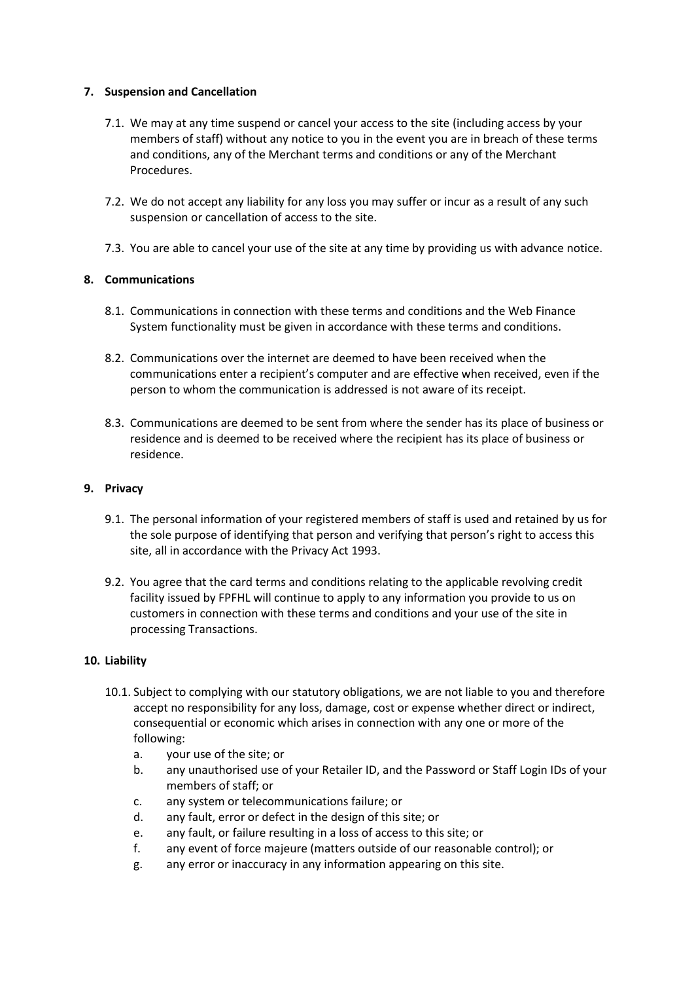## **7. Suspension and Cancellation**

- 7.1. We may at any time suspend or cancel your access to the site (including access by your members of staff) without any notice to you in the event you are in breach of these terms and conditions, any of the Merchant terms and conditions or any of the Merchant Procedures.
- 7.2. We do not accept any liability for any loss you may suffer or incur as a result of any such suspension or cancellation of access to the site.
- 7.3. You are able to cancel your use of the site at any time by providing us with advance notice.

# **8. Communications**

- 8.1. Communications in connection with these terms and conditions and the Web Finance System functionality must be given in accordance with these terms and conditions.
- 8.2. Communications over the internet are deemed to have been received when the communications enter a recipient's computer and are effective when received, even if the person to whom the communication is addressed is not aware of its receipt.
- 8.3. Communications are deemed to be sent from where the sender has its place of business or residence and is deemed to be received where the recipient has its place of business or residence.

## **9. Privacy**

- 9.1. The personal information of your registered members of staff is used and retained by us for the sole purpose of identifying that person and verifying that person's right to access this site, all in accordance with the Privacy Act 1993.
- 9.2. You agree that the card terms and conditions relating to the applicable revolving credit facility issued by FPFHL will continue to apply to any information you provide to us on customers in connection with these terms and conditions and your use of the site in processing Transactions.

### **10. Liability**

- 10.1. Subject to complying with our statutory obligations, we are not liable to you and therefore accept no responsibility for any loss, damage, cost or expense whether direct or indirect, consequential or economic which arises in connection with any one or more of the following:
	- a. your use of the site; or
	- b. any unauthorised use of your Retailer ID, and the Password or Staff Login IDs of your members of staff; or
	- c. any system or telecommunications failure; or
	- d. any fault, error or defect in the design of this site; or
	- e. any fault, or failure resulting in a loss of access to this site; or
	- f. any event of force majeure (matters outside of our reasonable control); or
	- g. any error or inaccuracy in any information appearing on this site.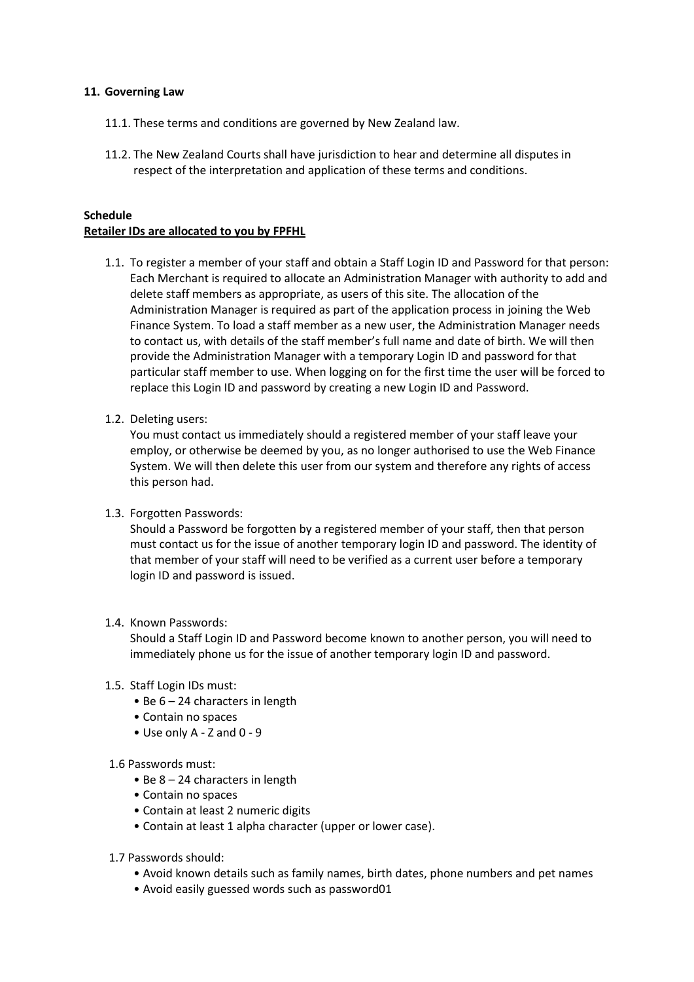### **11. Governing Law**

- 11.1. These terms and conditions are governed by New Zealand law.
- 11.2. The New Zealand Courts shall have jurisdiction to hear and determine all disputes in respect of the interpretation and application of these terms and conditions.

## **Schedule Retailer IDs are allocated to you by FPFHL**

- 1.1. To register a member of your staff and obtain a Staff Login ID and Password for that person: Each Merchant is required to allocate an Administration Manager with authority to add and delete staff members as appropriate, as users of this site. The allocation of the Administration Manager is required as part of the application process in joining the Web Finance System. To load a staff member as a new user, the Administration Manager needs to contact us, with details of the staff member's full name and date of birth. We will then provide the Administration Manager with a temporary Login ID and password for that particular staff member to use. When logging on for the first time the user will be forced to replace this Login ID and password by creating a new Login ID and Password.
- 1.2. Deleting users:

You must contact us immediately should a registered member of your staff leave your employ, or otherwise be deemed by you, as no longer authorised to use the Web Finance System. We will then delete this user from our system and therefore any rights of access this person had.

1.3. Forgotten Passwords:

Should a Password be forgotten by a registered member of your staff, then that person must contact us for the issue of another temporary login ID and password. The identity of that member of your staff will need to be verified as a current user before a temporary login ID and password is issued.

1.4. Known Passwords:

Should a Staff Login ID and Password become known to another person, you will need to immediately phone us for the issue of another temporary login ID and password.

### 1.5. Staff Login IDs must:

- Be 6 24 characters in length
- Contain no spaces
- Use only A Z and 0 9

#### 1.6 Passwords must:

- Be 8 24 characters in length
- Contain no spaces
- Contain at least 2 numeric digits
- Contain at least 1 alpha character (upper or lower case).
- 1.7 Passwords should:
	- Avoid known details such as family names, birth dates, phone numbers and pet names
	- Avoid easily guessed words such as password01